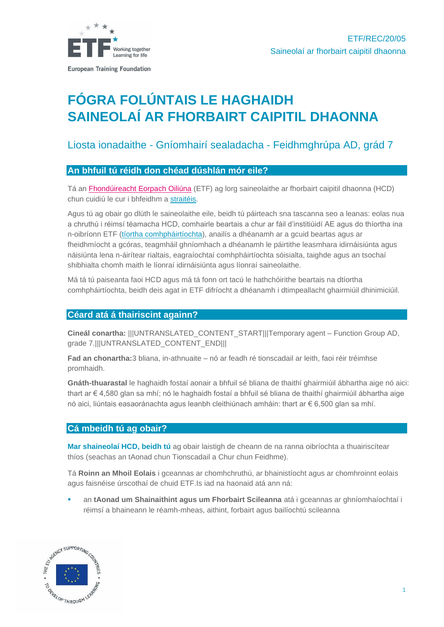

**European Training Foundation** 

# **FÓGRA FOLÚNTAIS LE HAGHAIDH SAINEOLAÍ AR FHORBAIRT CAIPITIL DHAONNA**

## Liosta ionadaithe - Gníomhairí sealadacha - Feidhmghrúpa AD, grád 7

## **An bhfuil tú réidh don chéad dúshlán mór eile?**

Tá an [Fhondúireacht Eorpach Oiliúna](http://www.etf.europa.eu/) (ETF) ag lorg saineolaithe ar fhorbairt caipitil dhaonna (HCD) chun cuidiú le cur i bhfeidhm a [straitéis.](https://www.etf.europa.eu/sites/default/files/document/ETF%20STRATEGY%202027%20FINAL.pdf)

Agus tú ag obair go dlúth le saineolaithe eile, beidh tú páirteach sna tascanna seo a leanas: eolas nua a chruthú i réimsí téamacha HCD, comhairle beartais a chur ar fáil d'institiúidí AE agus do thíortha ina n-oibríonn ETF [\(tíortha comhpháirtíochta\)](https://www.etf.europa.eu/en/regions-and-countries), anailís a dhéanamh ar a gcuid beartas agus ar fheidhmíocht a gcóras, teagmháil ghníomhach a dhéanamh le páirtithe leasmhara idirnáisiúnta agus náisiúnta lena n-áirítear rialtais, eagraíochtaí comhpháirtíochta sóisialta, taighde agus an tsochaí shibhialta chomh maith le líonraí idirnáisiúnta agus líonraí saineolaithe.

Má tá tú paiseanta faoi HCD agus má tá fonn ort tacú le hathchóirithe beartais na dtíortha comhpháirtíochta, beidh deis agat in ETF difríocht a dhéanamh i dtimpeallacht ghairmiúil dhinimiciúil.

## **Céard atá á thairiscint againn?**

**Cineál conartha:** |||UNTRANSLATED\_CONTENT\_START|||Temporary agent – Function Group AD, grade 7.|||UNTRANSLATED\_CONTENT\_END|||

**Fad an chonartha:**3 bliana, in-athnuaite – nó ar feadh ré tionscadail ar leith, faoi réir tréimhse promhaidh.

**Gnáth-thuarastal** le haghaidh fostaí aonair a bhfuil sé bliana de thaithí ghairmiúil ábhartha aige nó aici: thart ar € 4,580 glan sa mhí; nó le haghaidh fostaí a bhfuil sé bliana de thaithí ghairmiúil ábhartha aige nó aici, liúntais easaoránachta agus leanbh cleithiúnach amháin: thart ar € 6,500 glan sa mhí.

## **Cá mbeidh tú ag obair?**

**Mar shaineolaí HCD, beidh tú** ag obair laistigh de cheann de na ranna oibríochta a thuairiscítear thíos (seachas an tAonad chun Tionscadail a Chur chun Feidhme).

Tá **Roinn an Mhoil Eolais** i gceannas ar chomhchruthú, ar bhainistíocht agus ar chomhroinnt eolais agus faisnéise úrscothaí de chuid ETF.Is iad na haonaid atá ann ná:

an **tAonad um Shainaithint agus um Fhorbairt Scileanna** atá i gceannas ar ghníomhaíochtaí i réimsí a bhaineann le réamh-mheas, aithint, forbairt agus bailíochtú scileanna

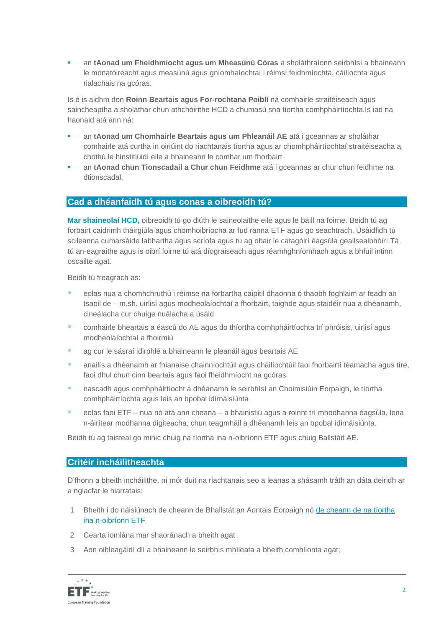▪ an **tAonad um Fheidhmíocht agus um Mheasúnú Córas** a sholáthraíonn seirbhísí a bhaineann le monatóireacht agus measúnú agus gníomhaíochtaí i réimsí feidhmíochta, cáilíochta agus rialachais na gcóras.

Is é is aidhm don **Roinn Beartais agus For-rochtana Poiblí** ná comhairle straitéiseach agus saincheaptha a sholáthar chun athchóirithe HCD a chumasú sna tíortha comhpháirtíochta.Is iad na haonaid atá ann ná:

- an **tAonad um Chomhairle Beartais agus um Phleanáil AE** atá i gceannas ar sholáthar comhairle atá curtha in oiriúint do riachtanais tíortha agus ar chomhpháirtíochtaí straitéiseacha a chothú le hinstitiúidí eile a bhaineann le comhar um fhorbairt
- an **tAonad chun Tionscadail a Chur chun Feidhme** atá i gceannas ar chur chun feidhme na dtionscadal.

## **Cad a dhéanfaidh tú agus conas a oibreoidh tú?**

**Mar shaineolaí HCD,** oibreoidh tú go dlúth le saineolaithe eile agus le baill na foirne. Beidh tú ag forbairt caidrimh tháirgiúla agus chomhoibríocha ar fud ranna ETF agus go seachtrach. Úsáidfidh tú scileanna cumarsáide labhartha agus scríofa agus tú ag obair le catagóirí éagsúla geallsealbhóirí.Tá tú an-eagraithe agus is oibrí foirne tú atá díograiseach agus réamhghníomhach agus a bhfuil intinn oscailte agat.

Beidh tú freagrach as:

- eolas nua a chomhchruthú i réimse na forbartha caipitil dhaonna ó thaobh foghlaim ar feadh an tsaoil de – m.sh. uirlisí agus modheolaíochtaí a fhorbairt, taighde agus staidéir nua a dhéanamh, cineálacha cur chuige nuálacha a úsáid
- comhairle bheartais a éascú do AE agus do thíortha comhpháirtíochta trí phróisis, uirlisí agus modheolaíochtaí a fhoirmiú
- ag cur le sásraí idirphlé a bhaineann le pleanáil agus beartais AE
- anailís a dhéanamh ar fhianaise chainníochtúil agus cháilíochtúil faoi fhorbairtí téamacha agus tíre, faoi dhul chun cinn beartais agus faoi fheidhmíocht na gcóras
- nascadh agus comhpháirtíocht a dhéanamh le seirbhísí an Choimisiúin Eorpaigh, le tíortha comhpháirtíochta agus leis an bpobal idirnáisiúnta
- eolas faoi ETF nua nó atá ann cheana a bhainistiú agus a roinnt trí mhodhanna éagsúla, lena n-áirítear modhanna digiteacha, chun teagmháil a dhéanamh leis an bpobal idirnáisiúnta.

Beidh tú ag taisteal go minic chuig na tíortha ina n-oibríonn ETF agus chuig Ballstáit AE.

## **Critéir incháilitheachta**

D'fhonn a bheith incháilithe, ní mór duit na riachtanais seo a leanas a shásamh tráth an dáta deiridh ar a nglacfar le hiarratais:

- 1 Bheith i do náisiúnach de cheann de Bhallstát an Aontais Eorpaigh nó [de cheann de na tíortha](https://www.etf.europa.eu/en/regions-and-countries)  [ina n-oibríonn ETF](https://www.etf.europa.eu/en/regions-and-countries)
- 2 Cearta iomlána mar shaoránach a bheith agat
- 3 Aon oibleagáidí dlí a bhaineann le seirbhís mhíleata a bheith comhlíonta agat;

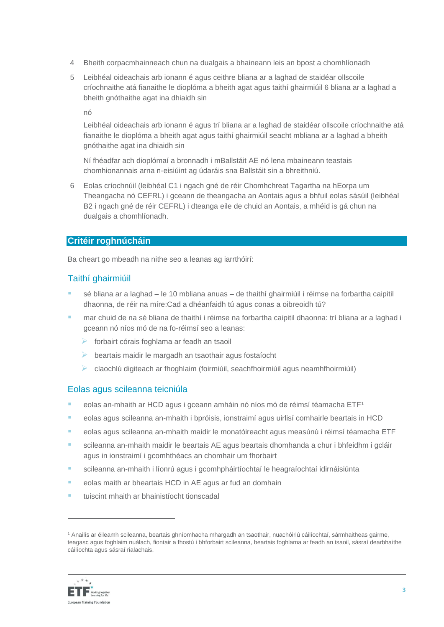- 4 Bheith corpacmhainneach chun na dualgais a bhaineann leis an bpost a chomhlíonadh
- 5 Leibhéal oideachais arb ionann é agus ceithre bliana ar a laghad de staidéar ollscoile críochnaithe atá fianaithe le dioplóma a bheith agat agus taithí ghairmiúil 6 bliana ar a laghad a bheith gnóthaithe agat ina dhiaidh sin

nó

Leibhéal oideachais arb ionann é agus trí bliana ar a laghad de staidéar ollscoile críochnaithe atá fianaithe le dioplóma a bheith agat agus taithí ghairmiúil seacht mbliana ar a laghad a bheith gnóthaithe agat ina dhiaidh sin

Ní fhéadfar ach dioplómaí a bronnadh i mBallstáit AE nó lena mbaineann teastais chomhionannais arna n-eisiúint ag údaráis sna Ballstáit sin a bhreithniú.

6 Eolas críochnúil (leibhéal C1 i ngach gné de réir Chomhchreat Tagartha na hEorpa um Theangacha nó CEFRL) i gceann de theangacha an Aontais agus a bhfuil eolas sásúil (leibhéal B2 i ngach gné de réir CEFRL) i dteanga eile de chuid an Aontais, a mhéid is gá chun na dualgais a chomhlíonadh.

## **Critéir roghnúcháin**

Ba cheart go mbeadh na nithe seo a leanas ag iarrthóirí:

## Taithí ghairmiúil

- sé bliana ar a laghad le 10 mbliana anuas de thaithí ghairmiúil i réimse na forbartha caipitil dhaonna, de réir na míre:Cad a dhéanfaidh tú agus conas a oibreoidh tú?
- mar chuid de na sé bliana de thaithí i réimse na forbartha caipitil dhaonna: trí bliana ar a laghad i gceann nó níos mó de na fo-réimsí seo a leanas:
	- ➢ forbairt córais foghlama ar feadh an tsaoil
	- ➢ beartais maidir le margadh an tsaothair agus fostaíocht
	- ➢ claochlú digiteach ar fhoghlaim (foirmiúil, seachfhoirmiúil agus neamhfhoirmiúil)

## Eolas agus scileanna teicniúla

- $\blacksquare$  eolas an-mhaith ar HCD agus i gceann amháin nó níos mó de réimsí téamacha ETF<sup>1</sup>
- eolas agus scileanna an-mhaith i bpróisis, ionstraimí agus uirlisí comhairle beartais in HCD
- eolas agus scileanna an-mhaith maidir le monatóireacht agus measúnú i réimsí téamacha ETF
- scileanna an-mhaith maidir le beartais AE agus beartais dhomhanda a chur i bhfeidhm i gcláir agus in ionstraimí i gcomhthéacs an chomhair um fhorbairt
- scileanna an-mhaith i líonrú agus i gcomhpháirtíochtaí le heagraíochtaí idirnáisiúnta
- eolas maith ar bheartais HCD in AE agus ar fud an domhain
- tuiscint mhaith ar bhainistíocht tionscadal

<sup>1</sup> Anailís ar éileamh scileanna, beartais ghníomhacha mhargadh an tsaothair, nuachóiriú cáilíochtaí, sármhaitheas gairme, teagasc agus foghlaim nuálach, fiontair a fhostú i bhforbairt scileanna, beartais foghlama ar feadh an tsaoil, sásraí dearbhaithe cáilíochta agus sásraí rialachais.

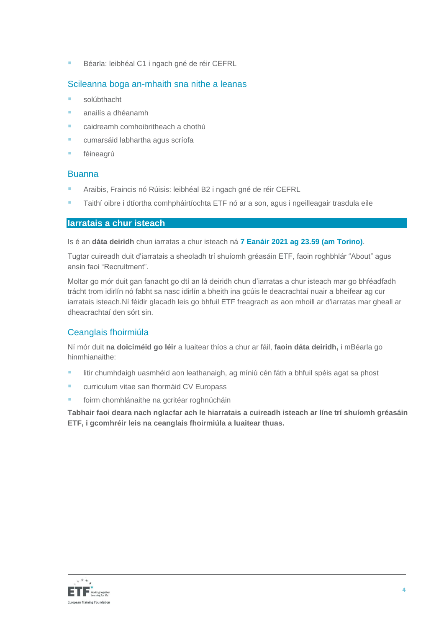**Béarla: leibhéal C1 i ngach gné de réir CEFRL** 

## Scileanna boga an-mhaith sna nithe a leanas

- solúbthacht
- anailís a dhéanamh
- caidreamh comhoibritheach a chothú
- cumarsáid labhartha agus scríofa
- féineagrú

## Buanna

- Araibis, Fraincis nó Rúisis: leibhéal B2 i ngach gné de réir CEFRL
- Taithí oibre i dtíortha comhpháirtíochta ETF nó ar a son, agus i ngeilleagair trasdula eile

## **Iarratais a chur isteach**

Is é an **dáta deiridh** chun iarratas a chur isteach ná **7 Eanáir 2021 ag 23.59 (am Torino)**.

Tugtar cuireadh duit d'iarratais a sheoladh trí shuíomh gréasáin ETF, faoin roghbhlár "About" agus ansin faoi "Recruitment".

Moltar go mór duit gan fanacht go dtí an lá deiridh chun d'iarratas a chur isteach mar go bhféadfadh trácht trom idirlín nó fabht sa nasc idirlín a bheith ina gcúis le deacrachtaí nuair a bheifear ag cur iarratais isteach.Ní féidir glacadh leis go bhfuil ETF freagrach as aon mhoill ar d'iarratas mar gheall ar dheacrachtaí den sórt sin.

## Ceanglais fhoirmiúla

Ní mór duit **na doiciméid go léir** a luaitear thíos a chur ar fáil, **faoin dáta deiridh,** i mBéarla go hinmhianaithe:

- **E** litir chumhdaigh uasmhéid aon leathanaigh, ag míniú cén fáth a bhfuil spéis agat sa phost
- **E** curriculum vitae san [fhormáid CV Europass](http://europass.cedefop.europa.eu/en/documents/curriculum-vitae/templates-instructions)
- foirm chomhlánaithe na gcritéar roghnúcháin

**Tabhair faoi deara nach nglacfar ach le hiarratais a cuireadh isteach ar líne trí shuíomh gréasáin ETF, i gcomhréir leis na ceanglais fhoirmiúla a luaitear thuas.**

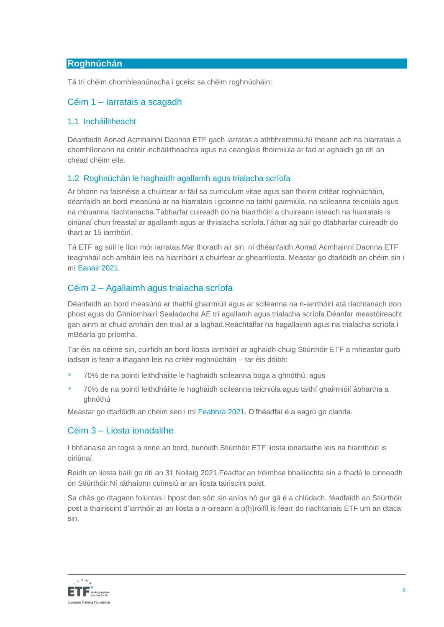## **Roghnúchán**

Tá trí chéim chomhleanúnacha i gceist sa chéim roghnúcháin:

## Céim 1 – Iarratais a scagadh

#### 1.1 Incháilitheacht

Déanfaidh Aonad Acmhainní Daonna ETF gach iarratas a athbhreithniú.Ní théann ach na hiarratais a chomhlíonann na critéir incháilitheachta agus na ceanglais fhoirmiúla ar fad ar aghaidh go dtí an chéad chéim eile.

#### 1.2 Roghnúchán le haghaidh agallamh agus trialacha scríofa

Ar bhonn na faisnéise a chuirtear ar fáil sa curriculum vitae agus san fhoirm critéar roghnúcháin, déanfaidh an bord measúnú ar na hiarratais i gcoinne na taithí gairmiúla, na scileanna teicniúla agus na mbuanna riachtanacha.Tabharfar cuireadh do na hiarrthóirí a chuireann isteach na hiarratais is oiriúnaí chun freastal ar agallamh agus ar thrialacha scríofa.Táthar ag súil go dtabharfar cuireadh do thart ar 15 iarrthóirí.

Tá ETF ag súil le líon mór iarratas.Mar thoradh air sin, ní dhéanfaidh Aonad Acmhainní Daonna ETF teagmháil ach amháin leis na hiarrthóirí a chuirfear ar ghearrliosta. Meastar go dtarlóidh an chéim sin i mí Eanáir 2021.

## Céim 2 – Agallaimh agus trialacha scríofa

Déanfaidh an bord measúnú ar thaithí ghairmiúil agus ar scileanna na n-iarrthóirí atá riachtanach don phost agus do Ghníomhairí Sealadacha AE trí agallamh agus trialacha scríofa.Déanfar meastóireacht gan ainm ar chuid amháin den triail ar a laghad.Reáchtálfar na hagallaimh agus na trialacha scríofa i mBéarla go príomha.

Tar éis na céime sin, cuirfidh an bord liosta iarrthóirí ar aghaidh chuig Stiúrthóir ETF a mheastar gurb iadsan is fearr a thagann leis na critéir roghnúcháin – tar éis dóibh:

- 70% de na pointí leithdháilte le haghaidh scileanna boga a ghnóthú, agus
- 70% de na pointí leithdháilte le haghaidh scileanna teicniúla agus taithí ghairmiúil ábhartha a ghnóthú

Meastar go dtarlóidh an chéim seo i mí Feabhra 2021. D'fhéadfaí é a eagrú go cianda.

## Céim 3 – Liosta ionadaithe

I bhfianaise an togra a rinne an bord, bunóidh Stiúrthóir ETF liosta ionadaithe leis na hiarrthóirí is oiriúnaí.

Beidh an liosta bailí go dtí an 31 Nollaig 2021.Féadfar an tréimhse bhailíochta sin a fhadú le cinneadh ón Stiúrthóir.Ní ráthaíonn cuimsiú ar an liosta tairiscint poist.

Sa chás go dtagann folúntas i bpost den sórt sin aníos nó gur gá é a chlúdach, féadfaidh an Stiúrthóir post a thairiscint d'iarrthóir ar an liosta a n-oireann a p(h)róifíl is fearr do riachtanais ETF um an dtaca sin.